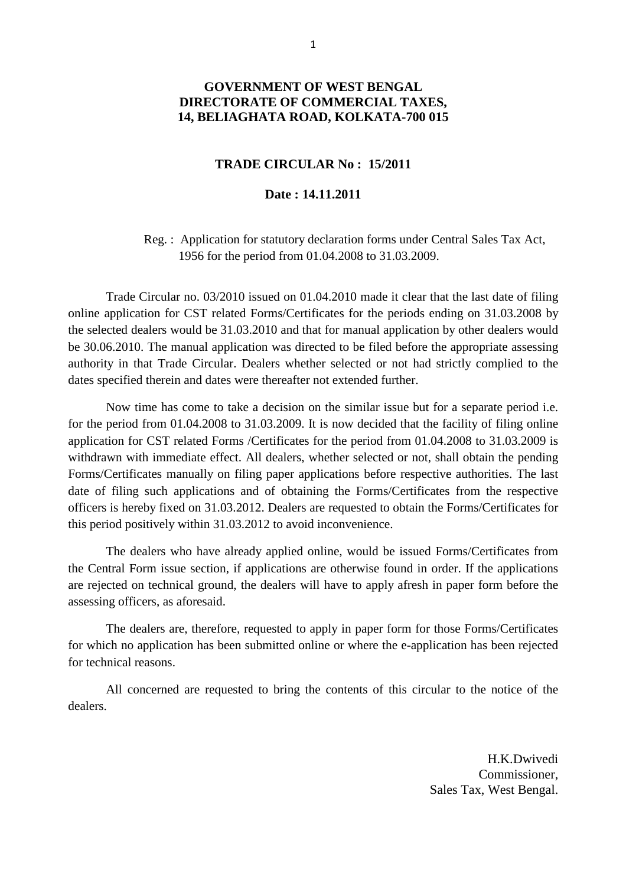## **GOVERNMENT OF WEST BENGAL DIRECTORATE OF COMMERCIAL TAXES, 14, BELIAGHATA ROAD, KOLKATA-700 015**

## **TRADE CIRCULAR No : 15/2011**

## **Date : 14.11.2011**

 Reg. : Application for statutory declaration forms under Central Sales Tax Act, 1956 for the period from 01.04.2008 to 31.03.2009.

 Trade Circular no. 03/2010 issued on 01.04.2010 made it clear that the last date of filing online application for CST related Forms/Certificates for the periods ending on 31.03.2008 by the selected dealers would be 31.03.2010 and that for manual application by other dealers would be 30.06.2010. The manual application was directed to be filed before the appropriate assessing authority in that Trade Circular. Dealers whether selected or not had strictly complied to the dates specified therein and dates were thereafter not extended further.

 Now time has come to take a decision on the similar issue but for a separate period i.e. for the period from 01.04.2008 to 31.03.2009. It is now decided that the facility of filing online application for CST related Forms /Certificates for the period from 01.04.2008 to 31.03.2009 is withdrawn with immediate effect. All dealers, whether selected or not, shall obtain the pending Forms/Certificates manually on filing paper applications before respective authorities. The last date of filing such applications and of obtaining the Forms/Certificates from the respective officers is hereby fixed on 31.03.2012. Dealers are requested to obtain the Forms/Certificates for this period positively within 31.03.2012 to avoid inconvenience.

 The dealers who have already applied online, would be issued Forms/Certificates from the Central Form issue section, if applications are otherwise found in order. If the applications are rejected on technical ground, the dealers will have to apply afresh in paper form before the assessing officers, as aforesaid.

 The dealers are, therefore, requested to apply in paper form for those Forms/Certificates for which no application has been submitted online or where the e-application has been rejected for technical reasons.

 All concerned are requested to bring the contents of this circular to the notice of the dealers.

> H.K.Dwivedi Commissioner, Sales Tax, West Bengal.